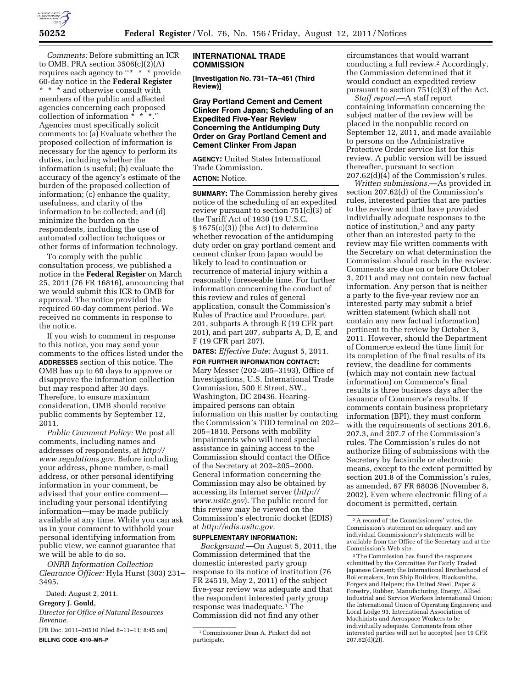

*Comments:* Before submitting an ICR to OMB, PRA section 3506(c)(2)(A) requires each agency to "\* \* \* provide" 60-day notice in the **Federal Register**  \* \* \* and otherwise consult with members of the public and affected agencies concerning each proposed collection of information  $* * *$ ." Agencies must specifically solicit comments to: (a) Evaluate whether the proposed collection of information is necessary for the agency to perform its duties, including whether the information is useful; (b) evaluate the accuracy of the agency's estimate of the burden of the proposed collection of information; (c) enhance the quality, usefulness, and clarity of the information to be collected; and (d) minimize the burden on the respondents, including the use of automated collection techniques or other forms of information technology.

To comply with the public consultation process, we published a notice in the **Federal Register** on March 25, 2011 (76 FR 16816), announcing that we would submit this ICR to OMB for approval. The notice provided the required 60-day comment period. We received no comments in response to the notice.

If you wish to comment in response to this notice, you may send your comments to the offices listed under the **ADDRESSES** section of this notice. The OMB has up to 60 days to approve or disapprove the information collection but may respond after 30 days. Therefore, to ensure maximum consideration, OMB should receive public comments by September 12, 2011.

*Public Comment Policy:* We post all comments, including names and addresses of respondents, at *[http://](http://www.regulations.gov)  [www.regulations.gov.](http://www.regulations.gov)* Before including your address, phone number, e-mail address, or other personal identifying information in your comment, be advised that your entire comment including your personal identifying information—may be made publicly available at any time. While you can ask us in your comment to withhold your personal identifying information from public view, we cannot guarantee that we will be able to do so.

*ONRR Information Collection Clearance Officer:* Hyla Hurst (303) 231– 3495.

Dated: August 2, 2011.

#### **Gregory J. Gould,**

*Director for Office of Natural Resources Revenue.* 

[FR Doc. 2011–20510 Filed 8–11–11; 8:45 am] **BILLING CODE 4310–MR–P** 

### **INTERNATIONAL TRADE COMMISSION**

**[Investigation No. 731–TA–461 (Third Review)]** 

**Gray Portland Cement and Cement Clinker From Japan; Scheduling of an Expedited Five-Year Review Concerning the Antidumping Duty Order on Gray Portland Cement and Cement Clinker From Japan** 

**AGENCY:** United States International Trade Commission.

# **ACTION:** Notice.

**SUMMARY:** The Commission hereby gives notice of the scheduling of an expedited review pursuant to section 751(c)(3) of the Tariff Act of 1930 (19 U.S.C. § 1675(c)(3)) (the Act) to determine whether revocation of the antidumping duty order on gray portland cement and cement clinker from Japan would be likely to lead to continuation or recurrence of material injury within a reasonably foreseeable time. For further information concerning the conduct of this review and rules of general application, consult the Commission's Rules of Practice and Procedure, part 201, subparts A through E (19 CFR part 201), and part 207, subparts A, D, E, and F (19 CFR part 207).

**DATES:** *Effective Date:* August 5, 2011.

**FOR FURTHER INFORMATION CONTACT:**  Mary Messer (202–205–3193), Office of Investigations, U.S. International Trade Commission, 500 E Street, SW., Washington, DC 20436. Hearingimpaired persons can obtain information on this matter by contacting the Commission's TDD terminal on 202– 205–1810. Persons with mobility impairments who will need special assistance in gaining access to the Commission should contact the Office of the Secretary at 202–205–2000. General information concerning the Commission may also be obtained by accessing its Internet server (*[http://](http://www.usitc.gov)  [www.usitc.gov](http://www.usitc.gov)*). The public record for this review may be viewed on the Commission's electronic docket (EDIS) at *[http://edis.usitc.gov.](http://edis.usitc.gov)* 

## **SUPPLEMENTARY INFORMATION:**

*Background.*—On August 5, 2011, the Commission determined that the domestic interested party group response to its notice of institution (76 FR 24519, May 2, 2011) of the subject five-year review was adequate and that the respondent interested party group response was inadequate.1 The Commission did not find any other

circumstances that would warrant conducting a full review.2 Accordingly, the Commission determined that it would conduct an expedited review pursuant to section  $751(c)(3)$  of the Act.

*Staff report.*—A staff report containing information concerning the subject matter of the review will be placed in the nonpublic record on September 12, 2011, and made available to persons on the Administrative Protective Order service list for this review. A public version will be issued thereafter, pursuant to section 207.62(d)(4) of the Commission's rules.

*Written submissions.*—As provided in section 207.62(d) of the Commission's rules, interested parties that are parties to the review and that have provided individually adequate responses to the notice of institution,3 and any party other than an interested party to the review may file written comments with the Secretary on what determination the Commission should reach in the review. Comments are due on or before October 3, 2011 and may not contain new factual information. Any person that is neither a party to the five-year review nor an interested party may submit a brief written statement (which shall not contain any new factual information) pertinent to the review by October 3, 2011. However, should the Department of Commerce extend the time limit for its completion of the final results of its review, the deadline for comments (which may not contain new factual information) on Commerce's final results is three business days after the issuance of Commerce's results. If comments contain business proprietary information (BPI), they must conform with the requirements of sections 201.6, 207.3, and 207.7 of the Commission's rules. The Commission's rules do not authorize filing of submissions with the Secretary by facsimile or electronic means, except to the extent permitted by section 201.8 of the Commission's rules, as amended, 67 FR 68036 (November 8, 2002). Even where electronic filing of a document is permitted, certain

3The Commission has found the responses submitted by the Committee For Fairly Traded Japanese Cement; the International Brotherhood of Boilermakers, Iron Ship Builders, Blacksmiths, Forgers and Helpers; the United Steel, Paper & Forestry, Rubber, Manufacturing, Energy, Allied Industrial and Service Workers International Union; the International Union of Operating Engineers; and Local Lodge 93, International Association of Machinists and Aerospace Workers to be individually adequate. Comments from other interested parties will not be accepted (*see* 19 CFR  $207.62(d)(2)$ ).

<sup>1</sup>Commissioner Dean A. Pinkert did not participate.

<sup>2</sup>A record of the Commissioners' votes, the Commission's statement on adequacy, and any individual Commissioner's statements will be available from the Office of the Secretary and at the Commission's Web site.